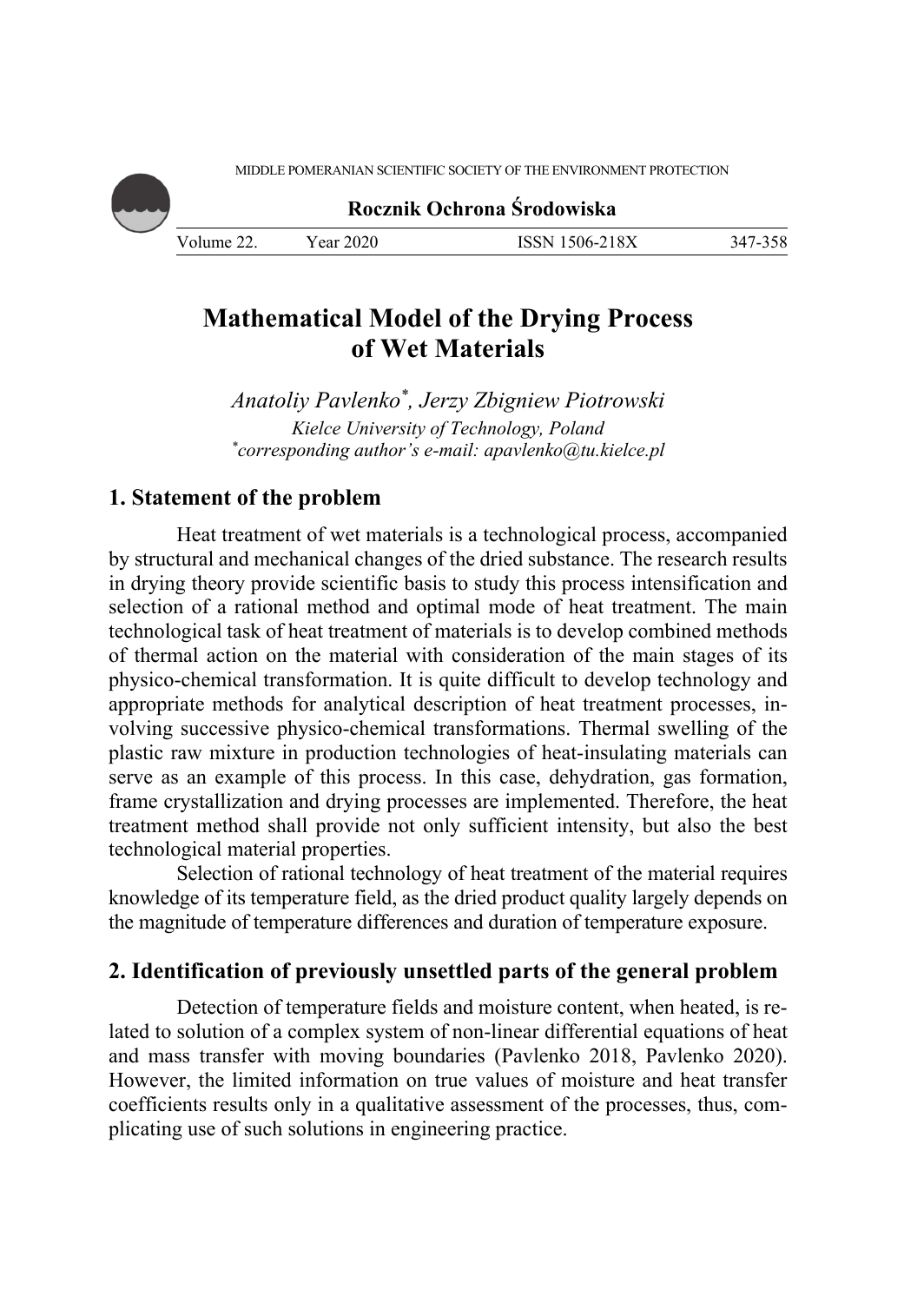MIDDLE POMERANIAN SCIENTIFIC SOCIETY OF THE ENVIRONMENT PROTECTION

**Rocznik Ochrona Środowiska**

Volume 22. Year 2020 ISSN 1506-218X 347-358

# **Mathematical Model of the Drying Process of Wet Materials**

*Anatoliy Pavlenko\*, Jerzy Zbigniew Piotrowski Kielce University of Technology, Poland \* corresponding author's e-mail: apavlenko@tu.kielce.pl* 

## **1. Statement of the problem**

Heat treatment of wet materials is a technological process, accompanied by structural and mechanical changes of the dried substance. The research results in drying theory provide scientific basis to study this process intensification and selection of a rational method and optimal mode of heat treatment. The main technological task of heat treatment of materials is to develop combined methods of thermal action on the material with consideration of the main stages of its physico-chemical transformation. It is quite difficult to develop technology and appropriate methods for analytical description of heat treatment processes, involving successive physico-chemical transformations. Thermal swelling of the plastic raw mixture in production technologies of heat-insulating materials can serve as an example of this process. In this case, dehydration, gas formation, frame crystallization and drying processes are implemented. Therefore, the heat treatment method shall provide not only sufficient intensity, but also the best technological material properties.

Selection of rational technology of heat treatment of the material requires knowledge of its temperature field, as the dried product quality largely depends on the magnitude of temperature differences and duration of temperature exposure.

## **2. Identification of previously unsettled parts of the general problem**

Detection of temperature fields and moisture content, when heated, is related to solution of a complex system of non-linear differential equations of heat and mass transfer with moving boundaries (Pavlenko 2018, Pavlenko 2020). However, the limited information on true values of moisture and heat transfer coefficients results only in a qualitative assessment of the processes, thus, complicating use of such solutions in engineering practice.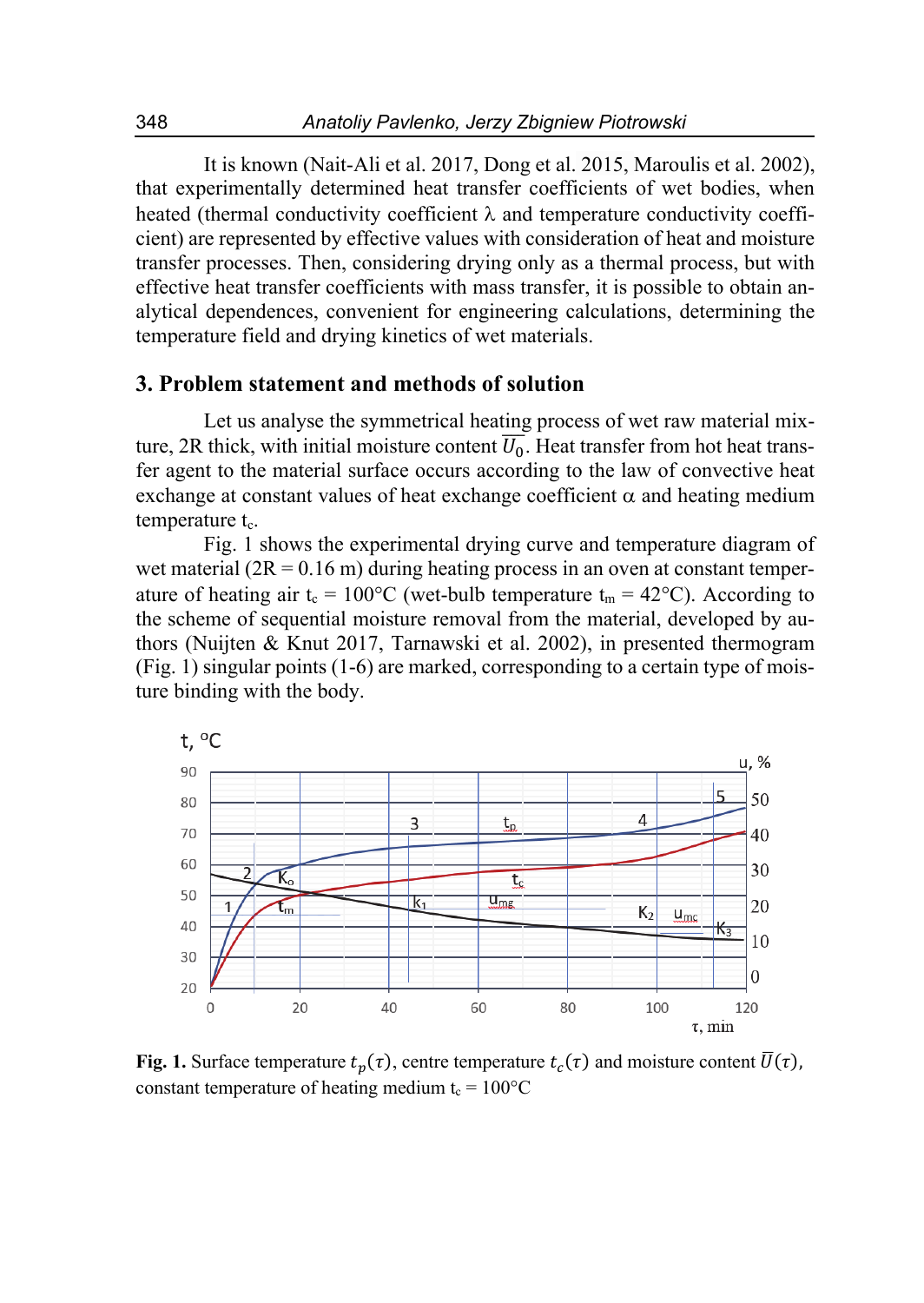It is known (Nait-Ali et al. 2017, Dong et al. 2015, Maroulis et al. 2002), that experimentally determined heat transfer coefficients of wet bodies, when heated (thermal conductivity coefficient  $\lambda$  and temperature conductivity coefficient) are represented by effective values with consideration of heat and moisture transfer processes. Then, considering drying only as a thermal process, but with effective heat transfer coefficients with mass transfer, it is possible to obtain analytical dependences, convenient for engineering calculations, determining the temperature field and drying kinetics of wet materials.

### **3. Problem statement and methods of solution**

Let us analyse the symmetrical heating process of wet raw material mixture, 2R thick, with initial moisture content  $\overline{U_0}$ . Heat transfer from hot heat transfer agent to the material surface occurs according to the law of convective heat exchange at constant values of heat exchange coefficient  $\alpha$  and heating medium temperature  $t_c$ .

Fig. 1 shows the experimental drying curve and temperature diagram of wet material  $(2R = 0.16 \text{ m})$  during heating process in an oven at constant temperature of heating air  $t_c = 100^{\circ}$ C (wet-bulb temperature  $t_m = 42^{\circ}$ C). According to the scheme of sequential moisture removal from the material, developed by authors (Nuijten & Knut 2017, Tarnawski et al. 2002), in presented thermogram (Fig. 1) singular points (1-6) are marked, corresponding to a certain type of moisture binding with the body.



**Fig. 1.** Surface temperature  $t_n(\tau)$ , centre temperature  $t_c(\tau)$  and moisture content  $\overline{U}(\tau)$ , constant temperature of heating medium  $t_c = 100^{\circ}C$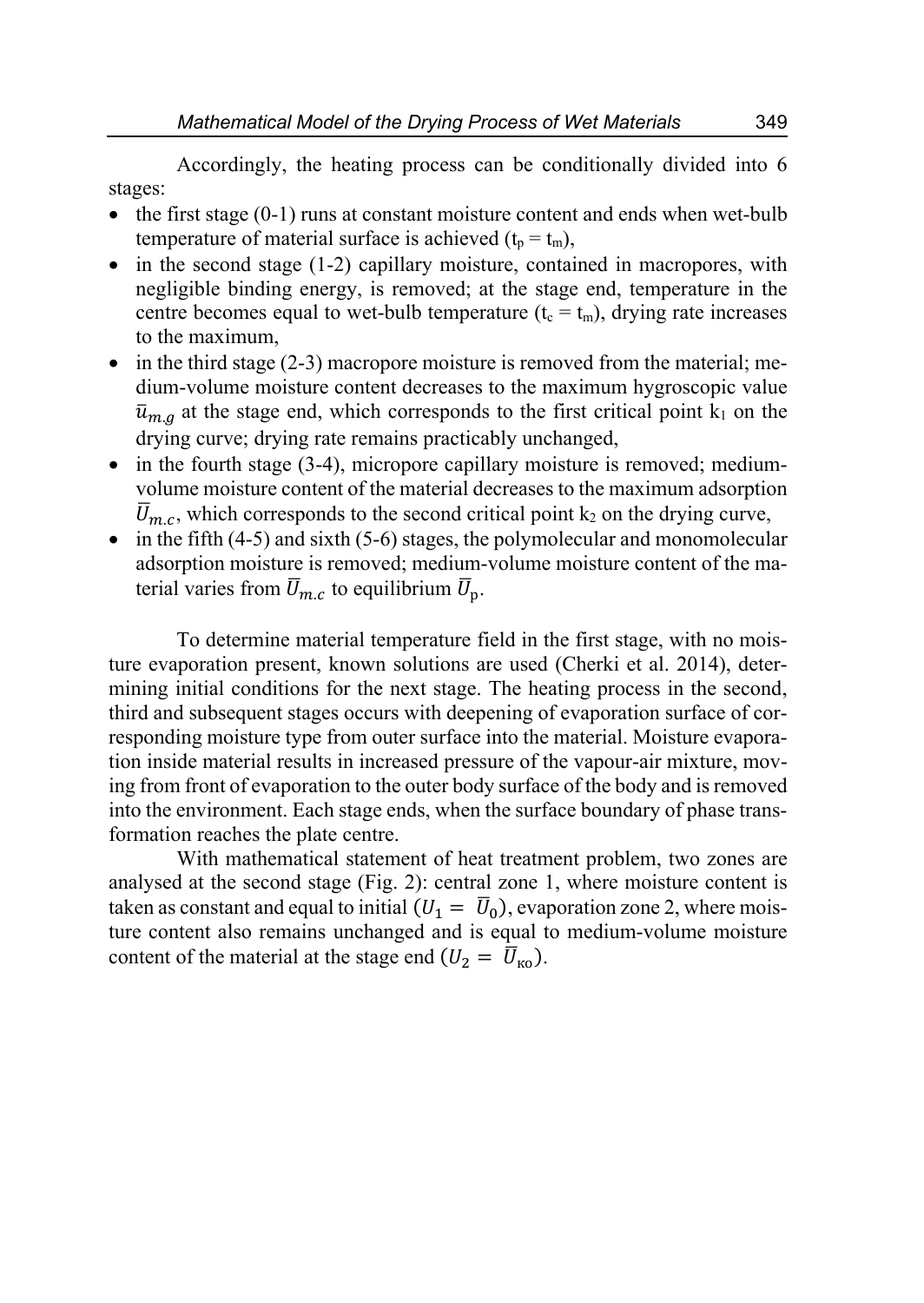Accordingly, the heating process can be conditionally divided into 6 stages:

- $\bullet$  the first stage (0-1) runs at constant moisture content and ends when wet-bulb temperature of material surface is achieved  $(t_p = t_m)$ ,
- $\bullet$  in the second stage (1-2) capillary moisture, contained in macropores, with negligible binding energy, is removed; at the stage end, temperature in the centre becomes equal to wet-bulb temperature  $(t_c = t_m)$ , drying rate increases to the maximum,
- $\bullet$  in the third stage (2-3) macropore moisture is removed from the material; medium-volume moisture content decreases to the maximum hygroscopic value  $\bar{u}_{m,q}$  at the stage end, which corresponds to the first critical point k<sub>1</sub> on the drying curve; drying rate remains practicably unchanged,
- in the fourth stage (3-4), micropore capillary moisture is removed; mediumvolume moisture content of the material decreases to the maximum adsorption  $\overline{U}_{m,c}$ , which corresponds to the second critical point k<sub>2</sub> on the drying curve,
- $\bullet$  in the fifth (4-5) and sixth (5-6) stages, the polymolecular and monomolecular adsorption moisture is removed; medium-volume moisture content of the material varies from  $\overline{U}_{m,c}$  to equilibrium  $\overline{U}_{p}$ .

To determine material temperature field in the first stage, with no moisture evaporation present, known solutions are used (Cherki et al. 2014), determining initial conditions for the next stage. The heating process in the second, third and subsequent stages occurs with deepening of evaporation surface of corresponding moisture type from outer surface into the material. Moisture evaporation inside material results in increased pressure of the vapour-air mixture, moving from front of evaporation to the outer body surface of the body and is removed into the environment. Each stage ends, when the surface boundary of phase transformation reaches the plate centre.

With mathematical statement of heat treatment problem, two zones are analysed at the second stage (Fig. 2): central zone 1, where moisture content is taken as constant and equal to initial  $(U_1 = \overline{U}_0)$ , evaporation zone 2, where moisture content also remains unchanged and is equal to medium-volume moisture content of the material at the stage end  $(U_2 = \overline{U}_{\text{KO}})$ .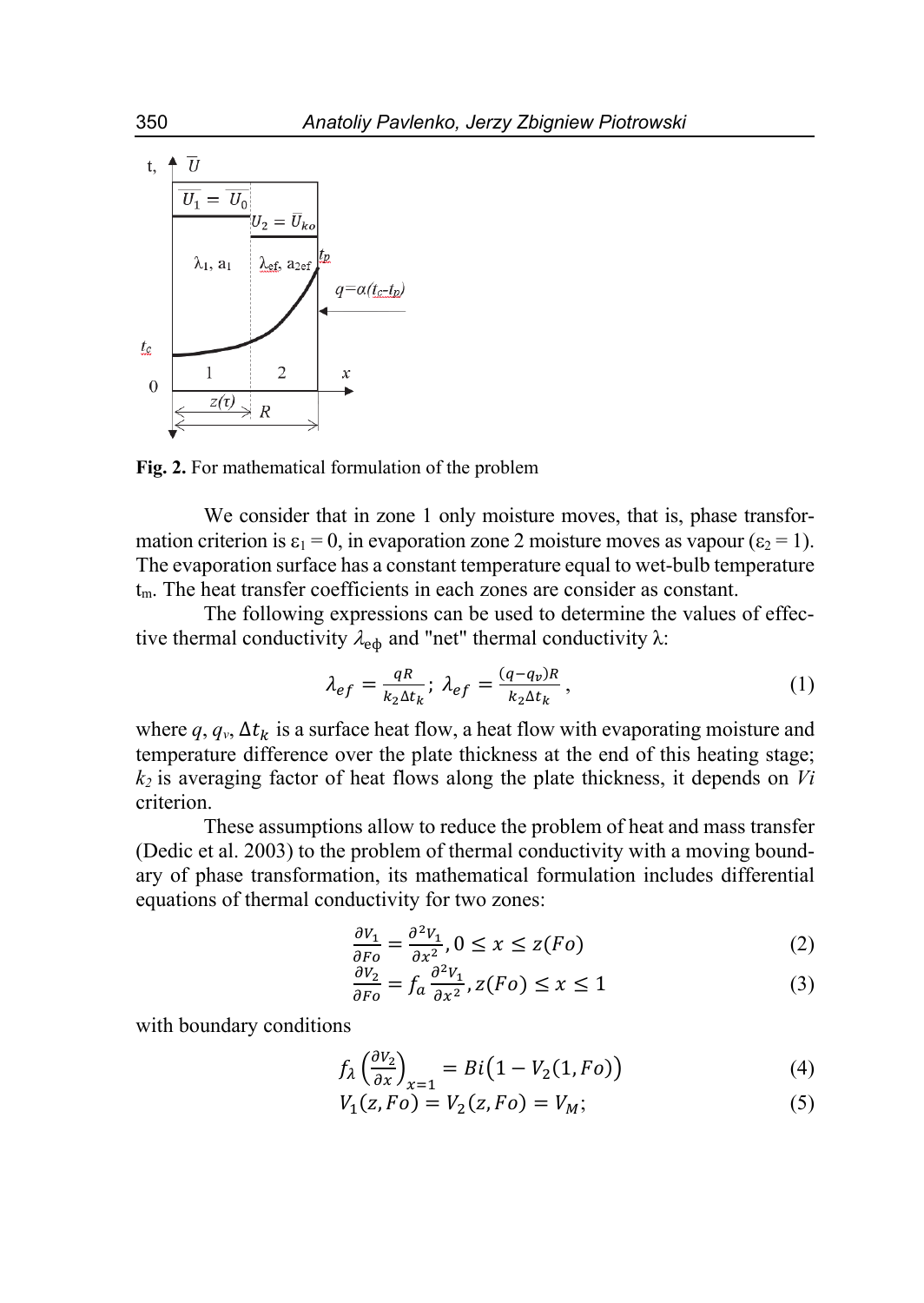

**Fig. 2.** For mathematical formulation of the problem

We consider that in zone 1 only moisture moves, that is, phase transformation criterion is  $\varepsilon_1 = 0$ , in evaporation zone 2 moisture moves as vapour ( $\varepsilon_2 = 1$ ). The evaporation surface has a constant temperature equal to wet-bulb temperature  $t_m$ . The heat transfer coefficients in each zones are consider as constant.

The following expressions can be used to determine the values of effective thermal conductivity  $\lambda_{\rm ed}$  and "net" thermal conductivity  $\lambda$ :

$$
\lambda_{ef} = \frac{qR}{k_2 \Delta t_k}; \ \lambda_{ef} = \frac{(q - q_v)R}{k_2 \Delta t_k}, \tag{1}
$$

where  $q, q_v, \Delta t_k$  is a surface heat flow, a heat flow with evaporating moisture and temperature difference over the plate thickness at the end of this heating stage; *k2* is averaging factor of heat flows along the plate thickness, it depends on *Vi* criterion.

These assumptions allow to reduce the problem of heat and mass transfer (Dedic et al. 2003) to the problem of thermal conductivity with a moving boundary of phase transformation, its mathematical formulation includes differential equations of thermal conductivity for two zones:

$$
\frac{\partial V_1}{\partial F_0} = \frac{\partial^2 V_1}{\partial x^2}, 0 \le x \le z(F_0)
$$
 (2)

$$
\frac{\partial V_2}{\partial F_0} = f_a \frac{\partial^2 V_1}{\partial x^2}, z(F_0) \le x \le 1
$$
\n(3)

with boundary conditions

$$
f_{\lambda} \left( \frac{\partial v_2}{\partial x} \right)_{x=1} = Bi \left( 1 - V_2(1, Fo) \right) \tag{4}
$$

$$
V_1(z, Fo) = V_2(z, Fo) = V_M;
$$
 (5)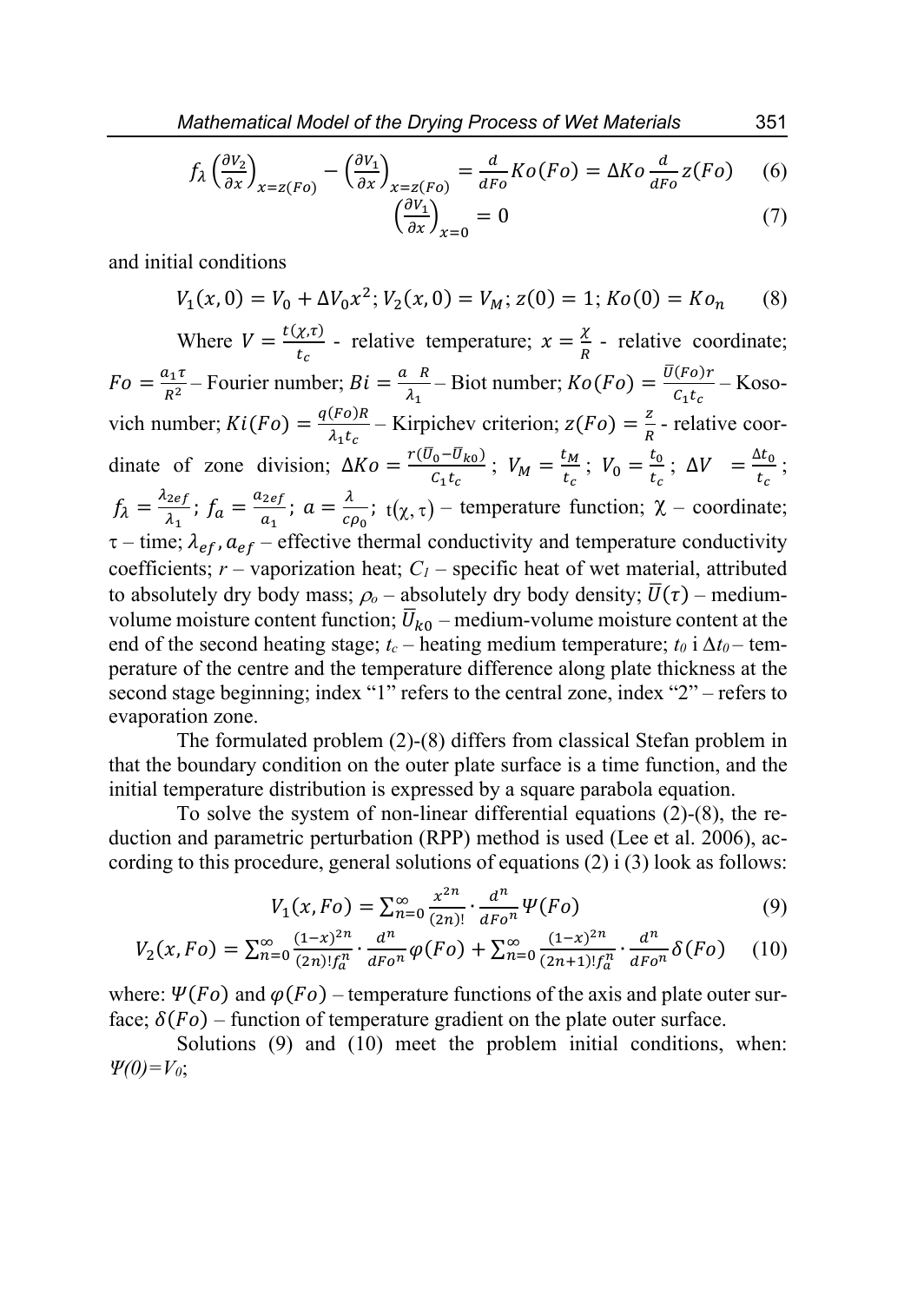$$
f_{\lambda} \left(\frac{\partial v_{2}}{\partial x}\right)_{x=z(Fo)} - \left(\frac{\partial v_{1}}{\partial x}\right)_{x=z(Fo)} = \frac{d}{dFo} Ko(Fo) = \Delta Ko \frac{d}{dFo}z(Fo) \tag{6}
$$

$$
\left(\frac{\partial V_1}{\partial x}\right)_{x=0} = 0\tag{7}
$$

and initial conditions

$$
V_1(x,0) = V_0 + \Delta V_0 x^2; V_2(x,0) = V_M; z(0) = 1; K_0(0) = K_0, \quad (8)
$$

Where  $V = \frac{t(\chi,\tau)}{t_c}$  - relative temperature;  $\chi = \frac{\chi}{R}$  - relative coordinate;  $Fo = \frac{a_1 \tau}{R^2}$  – Fourier number;  $Bi = \frac{a_R}{\lambda_1}$  – Biot number;  $Ko(Fo) = \frac{\overline{U(Fo)}r}{C_1 t_c}$  – Kosovich number;  $Ki(Fo) = \frac{q(Fo)R}{\lambda_1 t_c}$  – Kirpichev criterion;  $z(Fo) = \frac{z}{R}$  - relative coordinate of zone division;  $\Delta K \circ = \frac{r(\bar{U}_0 - \bar{U}_{k0})}{c_1 t_c}$ ;  $V_M = \frac{t_M}{t_c}$ ;  $V_0 = \frac{t_0}{t_c}$ ;  $\Delta V = \frac{\Delta t_0}{t_c}$ ;  $f_{\lambda} = \frac{\lambda_{2ef}}{\lambda_1}$ ;  $f_a = \frac{a_{2ef}}{a_1}$ ;  $a = \frac{\lambda}{c}$  $\frac{\lambda}{c\rho_0}$ ; t( $\chi, \tau$ ) – temperature function;  $\chi$  – coordinate;  $\tau$  – time;  $\lambda_{ef}$ ,  $a_{ef}$  – effective thermal conductivity and temperature conductivity coefficients;  $r$  – vaporization heat;  $C_I$  – specific heat of wet material, attributed to absolutely dry body mass;  $\rho_o$  – absolutely dry body density;  $\overline{U}(\tau)$  – mediumvolume moisture content function;  $\overline{U}_{k0}$  – medium-volume moisture content at the end of the second heating stage;  $t_c$  – heating medium temperature;  $t_0$  i  $\Delta t_0$  – temperature of the centre and the temperature difference along plate thickness at the second stage beginning; index "1" refers to the central zone, index "2" – refers to evaporation zone.

The formulated problem (2)-(8) differs from classical Stefan problem in that the boundary condition on the outer plate surface is a time function, and the initial temperature distribution is expressed by a square parabola equation.

To solve the system of non-linear differential equations (2)-(8), the reduction and parametric perturbation (RPP) method is used (Lee et al. 2006), according to this procedure, general solutions of equations  $(2)$  i  $(3)$  look as follows:

$$
V_1(x, Fo) = \sum_{n=0}^{\infty} \frac{x^{2n}}{(2n)!} \cdot \frac{d^n}{dFo^n} \Psi(Fo)
$$
 (9)

$$
V_2(x, Fo) = \sum_{n=0}^{\infty} \frac{(1-x)^{2n}}{(2n)! f_a^n} \cdot \frac{d^n}{dF_0^n} \varphi(F_0) + \sum_{n=0}^{\infty} \frac{(1-x)^{2n}}{(2n+1)! f_a^n} \cdot \frac{d^n}{dF_0^n} \delta(F_0) \tag{10}
$$

where:  $\Psi(Fo)$  and  $\varphi(Fo)$  – temperature functions of the axis and plate outer surface;  $\delta(Fo)$  – function of temperature gradient on the plate outer surface.

Solutions (9) and (10) meet the problem initial conditions, when: *Ψ(0)=V0*;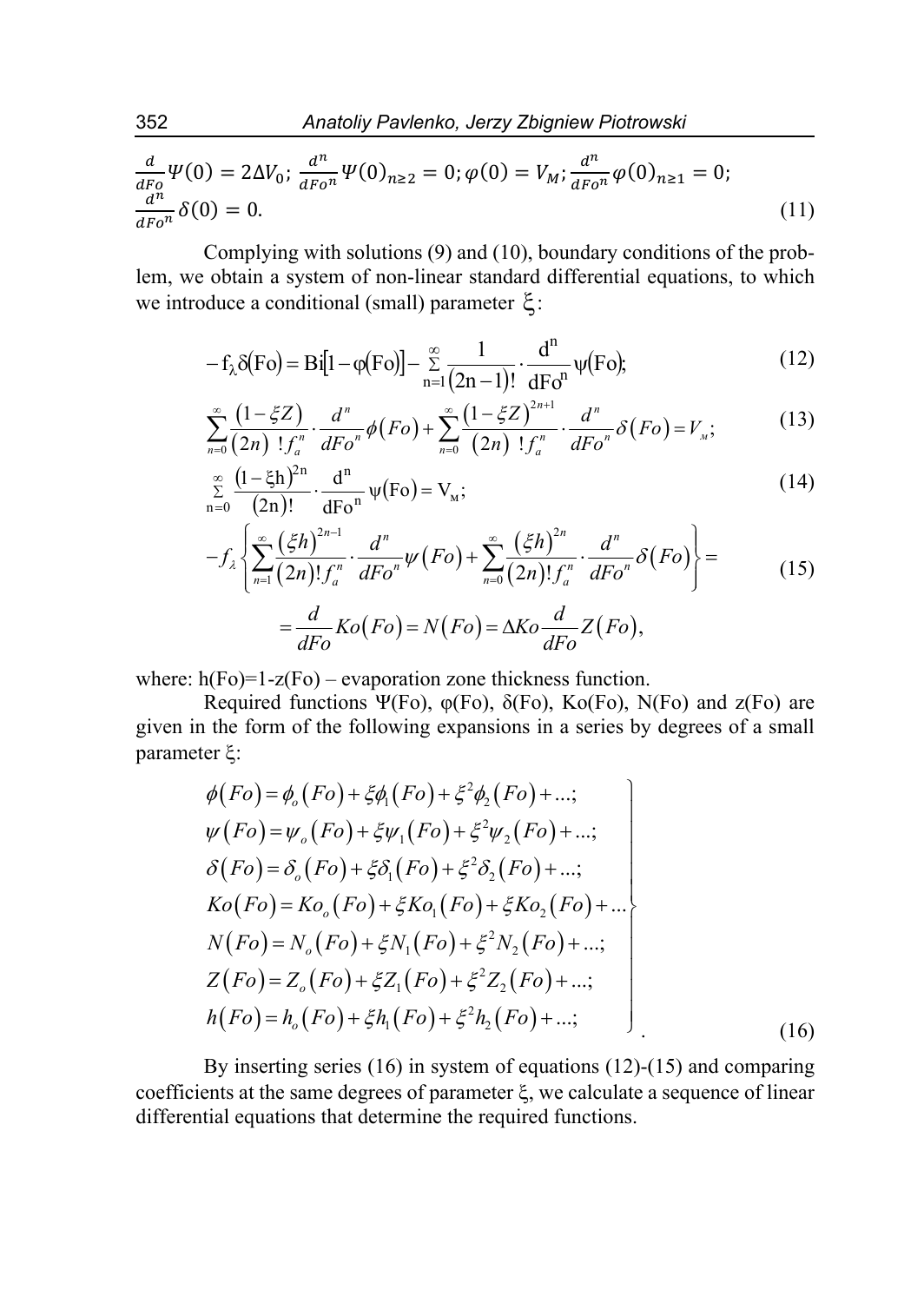$$
\frac{d}{dF_0}\Psi(0) = 2\Delta V_0; \frac{d^n}{dF_0^n}\Psi(0)_{n\geq 2} = 0; \varphi(0) = V_M; \frac{d^n}{dF_0^n}\varphi(0)_{n\geq 1} = 0; \n\frac{d^n}{dF_0^n}\delta(0) = 0.
$$
\n(11)

Complying with solutions (9) and (10), boundary conditions of the problem, we obtain a system of non-linear standard differential equations, to which we introduce a conditional (small) parameter  $\xi$ :

$$
-f_{\lambda}\delta(\mathrm{Fo}) = \mathrm{Bi}[1 - \varphi(\mathrm{Fo})] - \sum_{n=1}^{\infty} \frac{1}{(2n-1)!} \cdot \frac{\mathrm{d}^{n}}{\mathrm{d}\mathrm{Fo}^{n}} \psi(\mathrm{Fo});\tag{12}
$$

$$
\sum_{n=0}^{\infty} \frac{\left(1-\xi Z\right)}{\left(2n\right)! \, f_a^n} \cdot \frac{d^n}{dFo^n} \phi\big(Fo\big) + \sum_{n=0}^{\infty} \frac{\left(1-\xi Z\right)^{2n+1}}{\left(2n\right)! \, f_a^n} \cdot \frac{d^n}{dFo^n} \delta\big(Fo\big) = V_n; \tag{13}
$$

$$
\sum_{n=0}^{\infty} \frac{(1-\xi h)^{2n}}{(2n)!} \cdot \frac{d^n}{dFo^n} \psi(Fo) = V_m;
$$
\n(14)

$$
-f_{\lambda}\left\{\sum_{n=1}^{\infty}\frac{(\xi h)^{2n-1}}{(2n)!f_a^n}\cdot\frac{d^n}{dFo^n}\psi(Fo) + \sum_{n=0}^{\infty}\frac{(\xi h)^{2n}}{(2n)!f_a^n}\cdot\frac{d^n}{dFo^n}\delta(Fo)\right\} =
$$
  

$$
=\frac{d}{dFo}Ko(Fo) = N(Fo) = \Delta Ko\frac{d}{dFo}Z(Fo),
$$
 (15)

where:  $h(Fo)=1-z(Fo)$  – evaporation zone thickness function.

Required functions Ψ(Fo),  $\varphi$ (Fo),  $\delta$ (Fo), Ko(Fo), N(Fo) and z(Fo) are given in the form of the following expansions in a series by degrees of a small parameter  $\xi$ :

$$
\phi(Fo) = \phi_o(Fo) + \xi \phi_1(Fo) + \xi^2 \phi_2(Fo) + ...;
$$
\n
$$
\psi(Fo) = \psi_o(Fo) + \xi \psi_1(Fo) + \xi^2 \psi_2(Fo) + ...;
$$
\n
$$
\delta(Fo) = \delta_o(Fo) + \xi \delta_1(Fo) + \xi^2 \delta_2(Fo) + ...;
$$
\n
$$
Ko(Fo) = Ko_o(Fo) + \xi Ko_1(Fo) + \xi Ko_2(Fo) + ...;
$$
\n
$$
N(Fo) = N_o(Fo) + \xi N_1(Fo) + \xi^2 N_2(Fo) + ...;
$$
\n
$$
Z(Fo) = Z_o(Fo) + \xi Z_1(Fo) + \xi^2 Z_2(Fo) + ...;
$$
\n
$$
h(Fo) = h_o(Fo) + \xi h_1(Fo) + \xi^2 h_2(Fo) + ...;
$$
\n(16)

By inserting series (16) in system of equations (12)-(15) and comparing coefficients at the same degrees of parameter  $\xi$ , we calculate a sequence of linear differential equations that determine the required functions.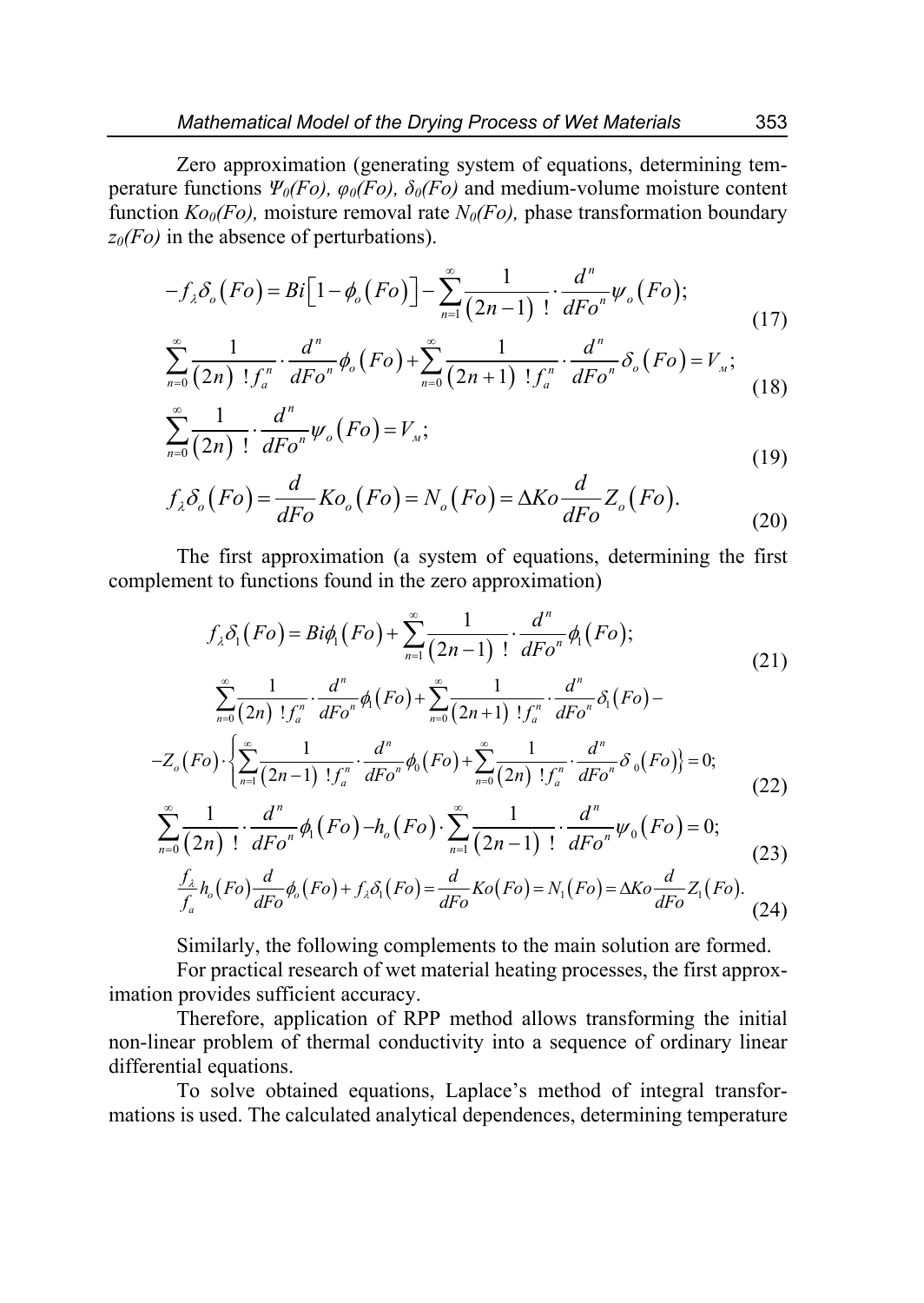Zero approximation (generating system of equations, determining temperature functions  $\Psi_0(Fo)$ ,  $\varphi_0(Fo)$ ,  $\delta_0(Fo)$  and medium-volume moisture content function  $K_{00}(Fo)$ , moisture removal rate  $N_0(Fo)$ , phase transformation boundary *z0(Fo)* in the absence of perturbations).

$$
-f_{\lambda}\delta_o(Fo) = Bi\Big[1-\phi_o(Fo)\Big]-\sum_{n=1}^{\infty}\frac{1}{(2n-1)!}\cdot\frac{d^n}{dFo^n}\psi_o(Fo);
$$
\n(17)

$$
\sum_{n=0}^{\infty} \frac{1}{(2n)! f_a^n} \cdot \frac{d^n}{dFo^n} \phi_o(Fo) + \sum_{n=0}^{\infty} \frac{1}{(2n+1)! f_a^n} \cdot \frac{d^n}{dFo^n} \delta_o(Fo) = V_n; \tag{18}
$$

$$
\sum_{n=0}^{\infty} \frac{1}{(2n)!} \cdot \frac{d^n}{dFo^n} \psi_o(Fo) = V_{\mu};\tag{19}
$$

$$
f_{\lambda} \delta_o \left( Fo \right) = \frac{d}{dFo} K o_o \left( Fo \right) = N_o \left( Fo \right) = \Delta Ko \frac{d}{dFo} Z_o \left( Fo \right). \tag{20}
$$

The first approximation (a system of equations, determining the first complement to functions found in the zero approximation)

$$
f_{\lambda}\delta_{1}(Fo) = Bi\phi_{1}(Fo) + \sum_{n=1}^{\infty} \frac{1}{(2n-1)!} \cdot \frac{d^{n}}{dFo^{n}}\phi_{1}(Fo);
$$
\n
$$
\sum_{n=1}^{\infty} \frac{1}{(2n-1)!} \cdot \frac{d^{n}}{dFo^{n}}\phi_{1}(Fo) + \sum_{n=1}^{\infty} \frac{1}{(2n-1)!} \cdot \frac{d^{n}}{dP^{n}}\delta_{1}(Fo) - \tag{21}
$$

$$
\sum_{n=0}^{\infty} \frac{1}{(2n) \, !f_a^n} \cdot \frac{d}{dFo^n} \phi_1(Fo) + \sum_{n=0}^{\infty} \frac{1}{(2n+1) \, !f_a^n} \cdot \frac{d}{dFo^n} \delta_1(Fo) -
$$
  

$$
-Z_o(Fo) \cdot \left\{ \sum_{n=1}^{\infty} \frac{1}{(2n-1) \, !f_a^n} \cdot \frac{d^n}{dFo^n} \phi_0(Fo) + \sum_{n=0}^{\infty} \frac{1}{(2n) \, !f_a^n} \cdot \frac{d^n}{dFo^n} \delta_0(Fo) \right\} = 0;
$$
 (22)

$$
\sum_{n=0}^{\infty} \frac{1}{(2n)!} \cdot \frac{d^n}{dFo^n} \phi_1(Fo) - h_o(Fo) \cdot \sum_{n=1}^{\infty} \frac{1}{(2n-1)!} \cdot \frac{d^n}{dFo^n} \psi_0(Fo) = 0; \tag{23}
$$

$$
\frac{f_{\lambda}}{f_a}h_o(Fo)\frac{d}{dFo}\phi_o(Fo) + f_{\lambda}\delta_1(Fo) = \frac{d}{dFo}Ko(Fo) = N_1(Fo) = \Delta Ko\frac{d}{dFo}Z_1(Fo). \tag{24}
$$

Similarly, the following complements to the main solution are formed.

For practical research of wet material heating processes, the first approximation provides sufficient accuracy.

Therefore, application of RPP method allows transforming the initial non-linear problem of thermal conductivity into a sequence of ordinary linear differential equations.

To solve obtained equations, Laplace's method of integral transformations is used. The calculated analytical dependences, determining temperature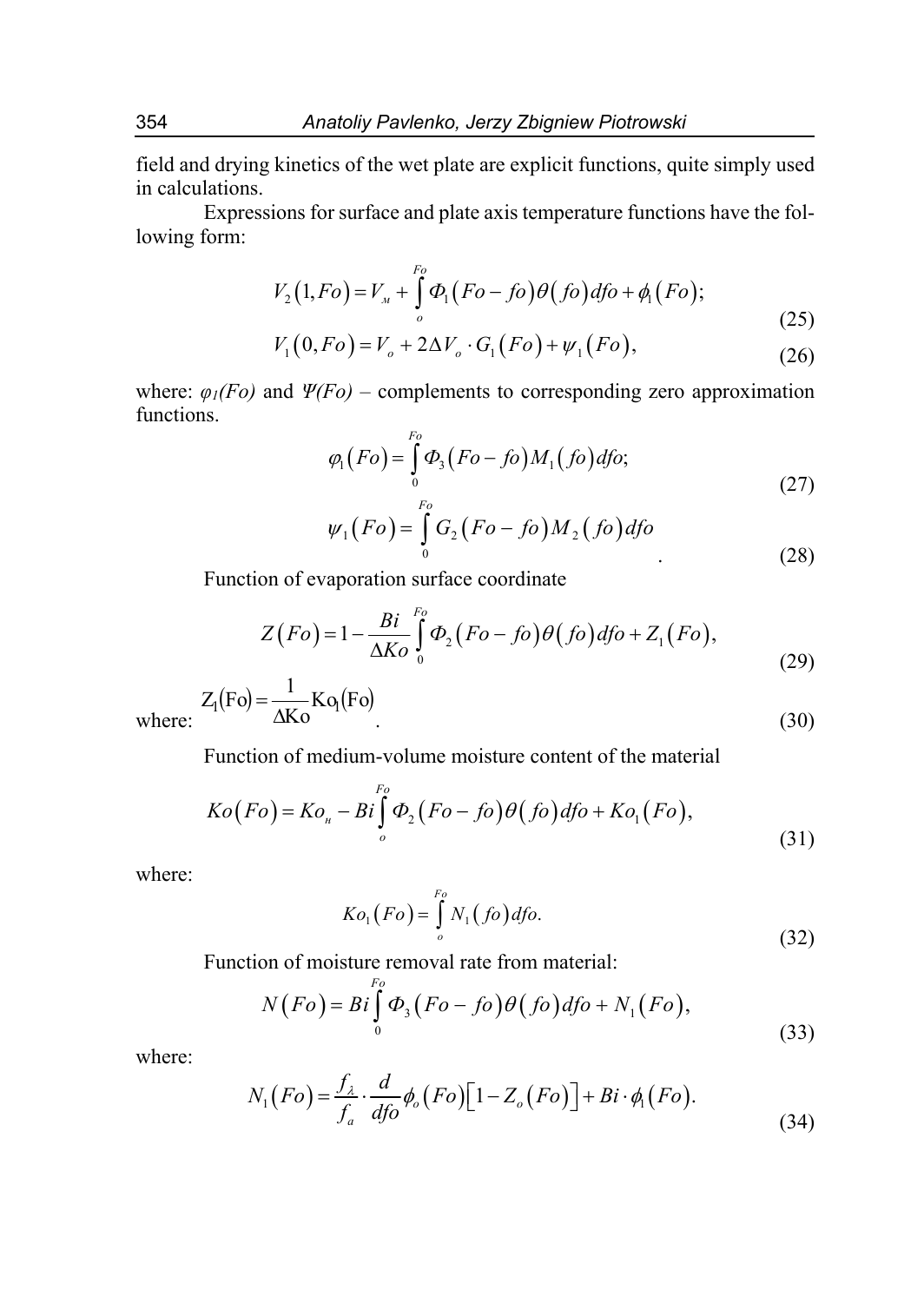field and drying kinetics of the wet plate are explicit functions, quite simply used in calculations.

Expressions for surface and plate axis temperature functions have the following form:

$$
V_2(1, Fo) = V_{\mu} + \int_{o}^{F_0} \Phi_1(Fo - fo) \theta(fo) dfo + \phi_1(Fo); \tag{25}
$$

$$
V_1(0, Fo) = V_o + 2\Delta V_o \cdot G_1(Fo) + \psi_1(Fo),
$$
\n(26)

where:  $\varphi_1(Fo)$  and  $\Psi(Fo)$  – complements to corresponding zero approximation functions.

$$
\varphi_1(Fo) = \int_{o}^{Fo} \varphi_3(Fo - fo) M_1(fo) dfo; \tag{27}
$$

$$
\psi_1(Fo) = \int_0^{r_o} G_2(Fo - fo) M_2(fo) dfo \tag{28}
$$

Function of evaporation surface coordinate

$$
Z(Fo) = 1 - \frac{Bi}{\Delta K o} \int_{0}^{Fo} \Phi_2(Fo - fo) \theta(fo) dfo + Z_1(Fo), \tag{29}
$$

$$
Z_1(Fo) = \frac{1}{\Delta K o} K o_1(Fo)
$$
\n(30)

where

Function of medium-volume moisture content of the material

$$
Ko(Fo) = Ko_{u} - Bi \int_{o}^{Fo} \Phi_{2}(Fo - fo) \theta (fo) dfo + Ko_{1}(Fo),
$$
\n(31)

where:

$$
Ko_1(Fo) = \int\limits_o^{Fo} N_1(fo) dfo.
$$
\n(32)

Function of moisture removal rate from material:

$$
N(Fo) = Bi \int_{0}^{Fo} \Phi_{3}(Fo - fo) \theta (fo) dfo + N_{1}(Fo),
$$
\n(33)

where:

$$
N_1(Fo) = \frac{f_{\lambda}}{f_a} \cdot \frac{d}{dfo} \phi_o(Fo) \left[1 - Z_o(Fo)\right] + Bi \cdot \phi_1(Fo). \tag{34}
$$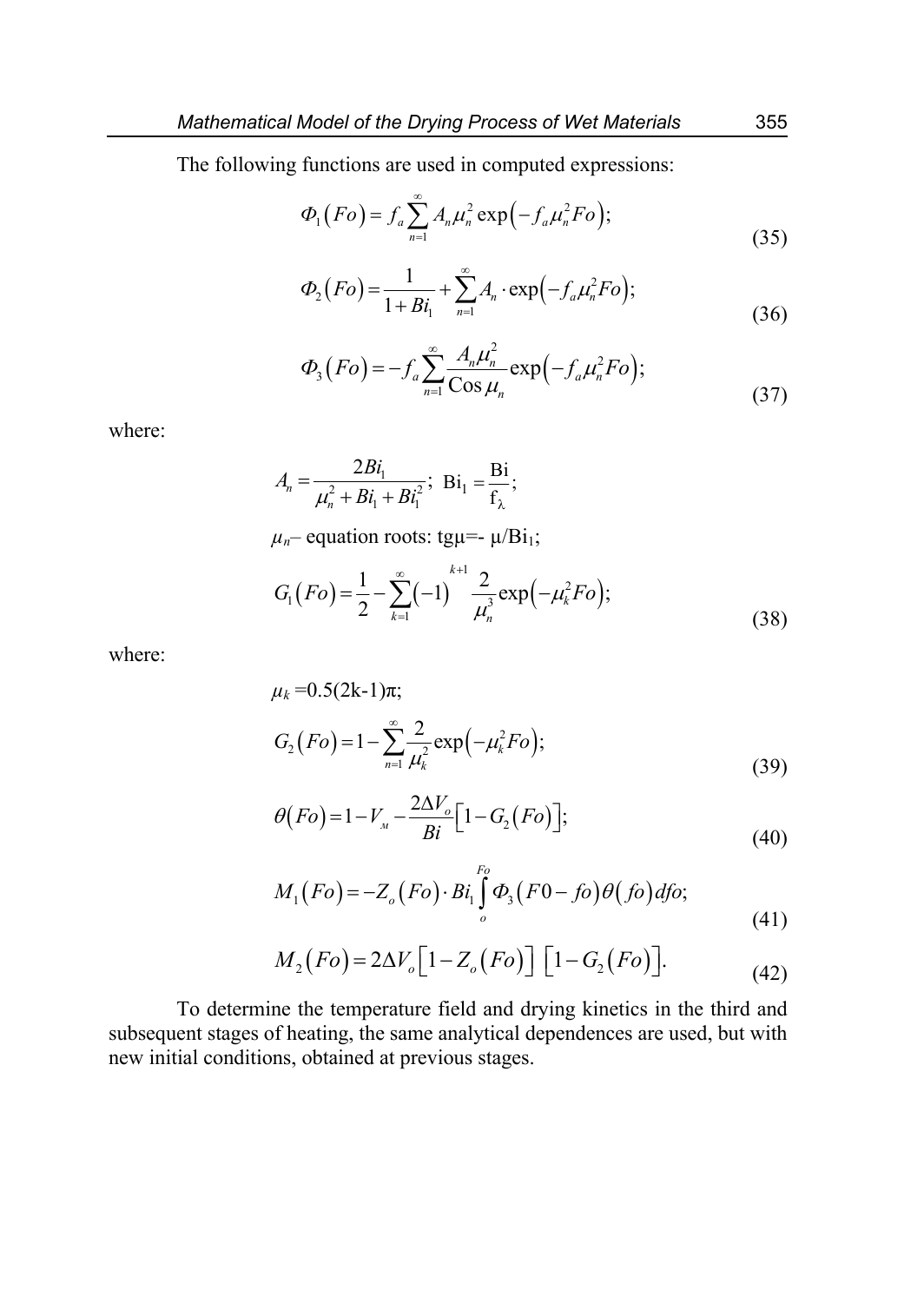The following functions are used in computed expressions:

$$
\Phi_1(Fo) = f_a \sum_{n=1}^{\infty} A_n \mu_n^2 \exp\left(-f_a \mu_n^2 Fo\right);
$$
\n(35)

$$
\Phi_2(Fo) = \frac{1}{1 + Bi_1} + \sum_{n=1}^{\infty} A_n \cdot \exp(-f_a \mu_n^2 Fo); \tag{36}
$$

$$
\Phi_3(Fo) = -f_a \sum_{n=1}^{\infty} \frac{A_n \mu_n^2}{\cos \mu_n} \exp\left(-f_a \mu_n^2 Fo\right);
$$
\n(37)

where:

$$
A_n = \frac{2Bi_1}{\mu_n^2 + Bi_1 + Bi_1^2}; \ \ \text{Bi}_1 = \frac{\text{Bi}}{\text{f}_{\lambda}};
$$

 $\mu_n$ – equation roots: tgu=-  $\mu$ /Bi<sub>1</sub>;

$$
G_{1}(Fo) = \frac{1}{2} - \sum_{k=1}^{\infty} (-1)^{k+1} \frac{2}{\mu_{n}^{3}} \exp(-\mu_{k}^{2} Fo);
$$
\n(38)

where:

$$
\mu_k = 0.5(2k-1)\pi;
$$
  
\n
$$
G_2(Fo) = 1 - \sum_{n=1}^{\infty} \frac{2}{\mu_k^2} \exp(-\mu_k^2 Fo);
$$
\n(39)

$$
\theta(Fo) = 1 - V_{\rm M} - \frac{2\Delta V_o}{Bi} \Big[ 1 - G_2(Fo) \Big];\tag{40}
$$

$$
M_1(Fo) = -Z_o(Fo) \cdot Bi_1 \int_o^{Fo} \Phi_3(Fo - fo) \theta(fo) dfo; \tag{41}
$$

$$
M_2(Fo) = 2\Delta V_o \left[1 - Z_o(Fo)\right] \left[1 - G_2(Fo)\right].\tag{42}
$$

To determine the temperature field and drying kinetics in the third and subsequent stages of heating, the same analytical dependences are used, but with new initial conditions, obtained at previous stages.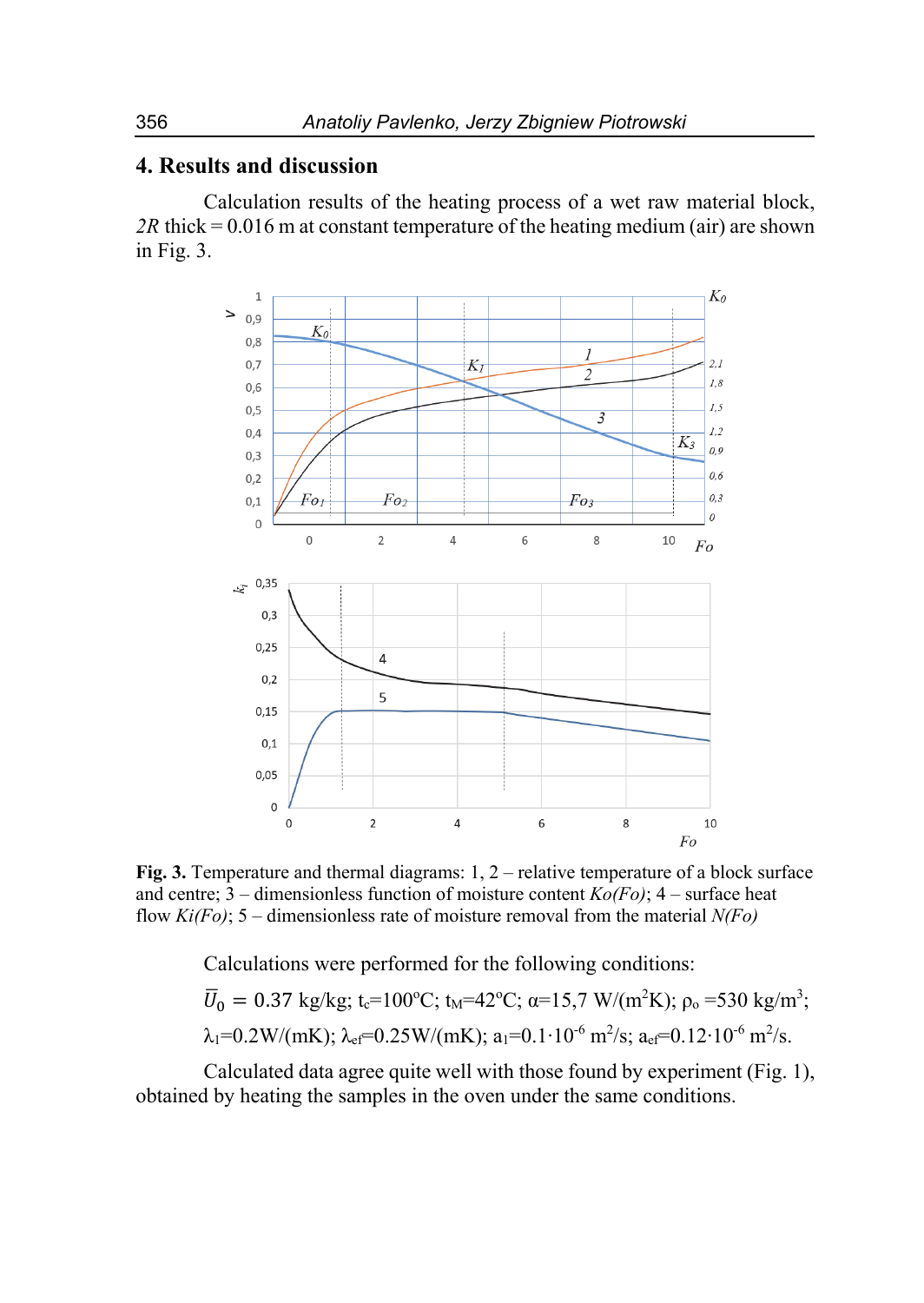## **4. Results and discussion**

Calculation results of the heating process of a wet raw material block, *2R* thick = 0.016 m at constant temperature of the heating medium (air) are shown in Fig. 3.



**Fig. 3.** Temperature and thermal diagrams: 1, 2 – relative temperature of a block surface and centre; 3 – dimensionless function of moisture content *Ko(Fo)*; 4 – surface heat flow *Ki(Fo)*; 5 – dimensionless rate of moisture removal from the material *N(Fo)* 

Calculations were performed for the following conditions:

$$
\overline{U}_0 = 0.37 \text{ kg/kg}; t_c=100^{\circ}\text{C}; t_M=42^{\circ}\text{C}; \alpha=15,7 \text{ W/(m}^2\text{K}); \rho_0=530 \text{ kg/m}^3; \lambda_1=0.2 \text{W/(mK)}; \lambda_{ef}=0.25 \text{W/(mK)}; a_1=0.1 \cdot 10^{-6} \text{ m}^2/\text{s}; a_{ef}=0.12 \cdot 10^{-6} \text{ m}^2/\text{s}.
$$

Calculated data agree quite well with those found by experiment (Fig. 1), obtained by heating the samples in the oven under the same conditions.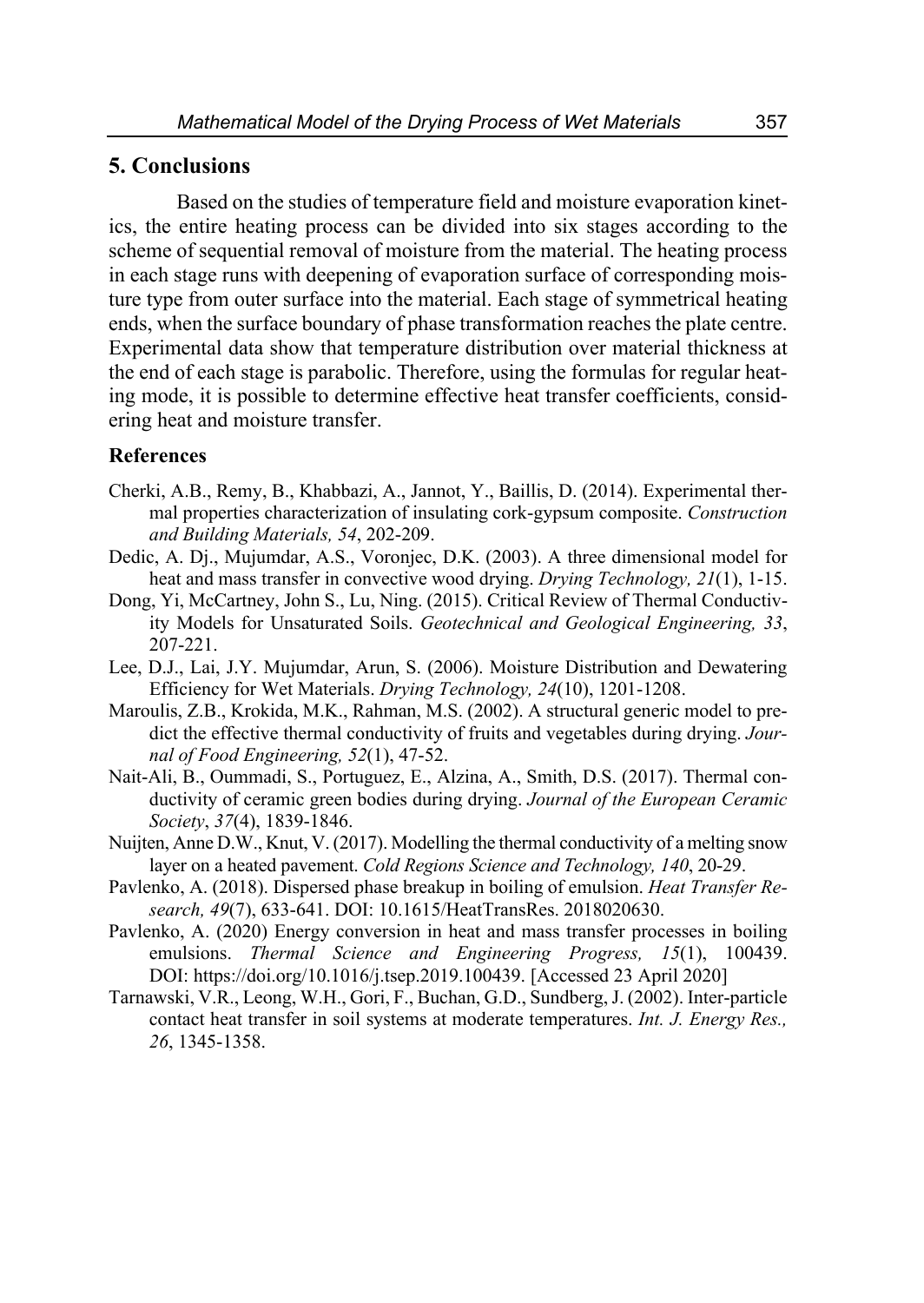### **5. Conclusions**

Based on the studies of temperature field and moisture evaporation kinetics, the entire heating process can be divided into six stages according to the scheme of sequential removal of moisture from the material. The heating process in each stage runs with deepening of evaporation surface of corresponding moisture type from outer surface into the material. Each stage of symmetrical heating ends, when the surface boundary of phase transformation reaches the plate centre. Experimental data show that temperature distribution over material thickness at the end of each stage is parabolic. Therefore, using the formulas for regular heating mode, it is possible to determine effective heat transfer coefficients, considering heat and moisture transfer.

#### **References**

- Cherki, A.B., Remy, B., Khabbazi, A., Jannot, Y., Baillis, D. (2014). Experimental thermal properties characterization of insulating cork-gypsum composite. *Construction and Building Materials, 54*, 202-209.
- Dedic, A. Dj., Mujumdar, A.S., Voronjec, D.K. (2003). А three dimensional model for heat and mass transfer in convective wood drying. *Drying Technology, 21*(1), 1-15.
- Dong, Yi, McCartney, John S., Lu, Ning. (2015). Critical Review of Thermal Conductivity Models for Unsaturated Soils. *Geotechnical and Geological Engineering, 33*, 207-221.
- Lee, D.J., Lai, J.Y. Mujumdar, Arun, S. (2006). Moisture Distribution and Dewatering Efficiency for Wet Materials. *Drying Technology, 24*(10), 1201-1208.
- Maroulis, Z.B., Krokida, M.K., Rahman, M.S. (2002). A structural generic model to predict the effective thermal conductivity of fruits and vegetables during drying. *Journal of Food Engineering, 52*(1), 47-52.
- Nait-Ali, B., Oummadi, S., Portuguez, E., Alzina, A., Smith, D.S. (2017). Thermal conductivity of ceramic green bodies during drying. *Journal of the European Ceramic Society*, *37*(4), 1839-1846.
- Nuijten, Anne D.W., Knut, V. (2017). Modelling the thermal conductivity of a melting snow layer on a heated pavement. *Cold Regions Science and Technology, 140*, 20-29.
- Pavlenko, A. (2018). Dispersed phase breakup in boiling of emulsion. *Heat Transfer Research, 49*(7), 633-641. DOI: 10.1615/HeatTransRes. 2018020630.
- Pavlenko, A. (2020) Energy conversion in heat and mass transfer processes in boiling emulsions. *Thermal Science and Engineering Progress, 15*(1), 100439. DOI: https://doi.org/10.1016/j.tsep.2019.100439. [Accessed 23 April 2020]
- Tarnawski, V.R., Leong, W.H., Gori, F., Buchan, G.D., Sundberg, J. (2002). Inter‐particle contact heat transfer in soil systems at moderate temperatures. *Int. J. Energy Res., 26*, 1345-1358.